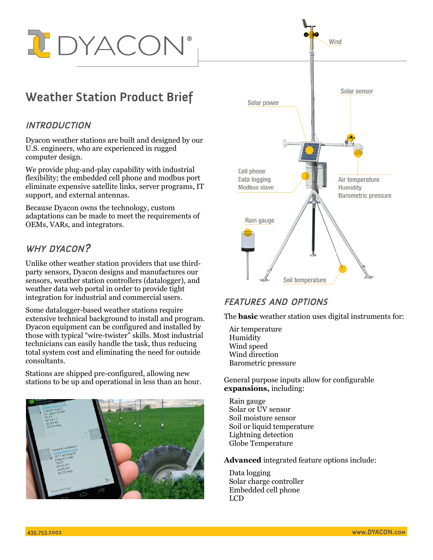

# **Weather Station Product Brief**

#### **INTRODUCTION**

Dyacon weather stations are built and designed by our U.S. engineers, who are experienced in rugged computer design.

We provide plug-and-play capability with industrial flexibility; the embedded cell phone and modbus port eliminate expensive satellite links, server programs, IT support, and external antennas.

Because Dyacon owns the technology, custom adaptations can be made to meet the requirements of OEMs, VARs, and integrators.

# WHY DYACON?

Unlike other weather station providers that use thirdparty sensors, Dyacon designs and manufactures our sensors, weather station controllers (datalogger), and weather data web portal in order to provide tight integration for industrial and commercial users.

Some datalogger-based weather stations require extensive technical background to install and program. Dyacon equipment can be configured and installed by those with typical "wire-twister" skills. Most industrial technicians can easily handle the task, thus reducing total system cost and eliminating the need for outside consultants.

Stations are shipped pre-configured, allowing new stations to be up and operational in less than an hour.





## FEATURES AND OPTIONS

The **basic** weather station uses digital instruments for:

Air temperature Humidity Wind speed Wind direction Barometric pressure

General purpose inputs allow for configurable **expansions,** including:

Rain gauge Solar or UV sensor Soil moisture sensor Soil or liquid temperature Lightning detection Globe Temperature

**Advanced** integrated feature options include:

Data logging Solar charge controller Embedded cell phone LCD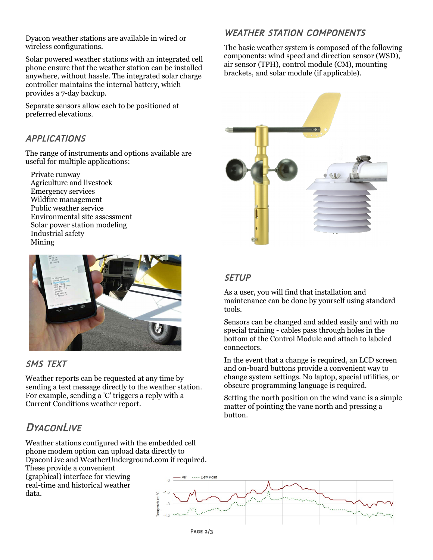Dyacon weather stations are available in wired or wireless configurations.

Solar powered weather stations with an integrated cell phone ensure that the weather station can be installed anywhere, without hassle. The integrated solar charge controller maintains the internal battery, which provides a 7-day backup.

Separate sensors allow each to be positioned at preferred elevations.

## APPLICATIONS

The range of instruments and options available are useful for multiple applications:

Private runway Agriculture and livestock Emergency services Wildfire management Public weather service Environmental site assessment Solar power station modeling Industrial safety Mining



## SMS TEXT

Weather reports can be requested at any time by sending a text message directly to the weather station. For example, sending a 'C' triggers a reply with a Current Conditions weather report.

# **DYACONLIVE**

Weather stations configured with the embedded cell phone modem option can upload data directly to DyaconLive and WeatherUnderground.com if required. These provide a convenient (graphical) interface for viewing real-time and historical weather data.

# WEATHER STATION COMPONENTS

The basic weather system is composed of the following components: wind speed and direction sensor (WSD), air sensor (TPH), control module (CM), mounting brackets, and solar module (if applicable).



#### **SETUP**

As a user, you will find that installation and maintenance can be done by yourself using standard tools.

Sensors can be changed and added easily and with no special training - cables pass through holes in the bottom of the Control Module and attach to labeled connectors.

In the event that a change is required, an LCD screen and on-board buttons provide a convenient way to change system settings. No laptop, special utilities, or obscure programming language is required.

Setting the north position on the wind vane is a simple matter of pointing the vane north and pressing a button.